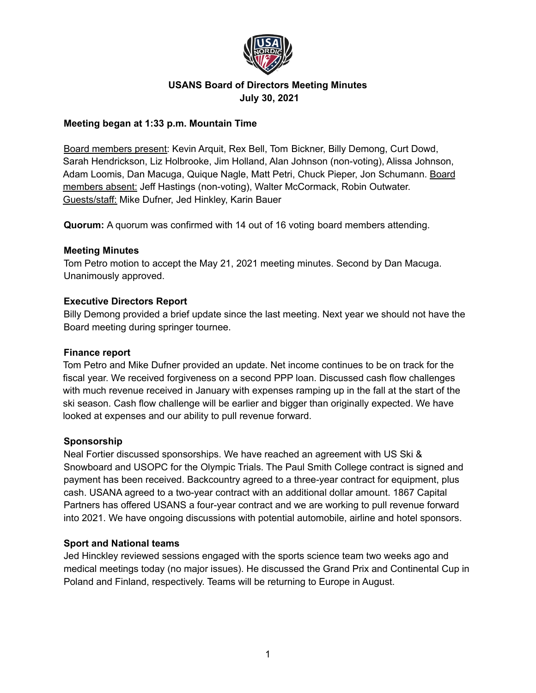

# **USANS Board of Directors Meeting Minutes July 30, 2021**

## **Meeting began at 1:33 p.m. Mountain Time**

Board members present: Kevin Arquit, Rex Bell, Tom Bickner, Billy Demong, Curt Dowd, Sarah Hendrickson, Liz Holbrooke, Jim Holland, Alan Johnson (non-voting), Alissa Johnson, Adam Loomis, Dan Macuga, Quique Nagle, Matt Petri, Chuck Pieper, Jon Schumann. Board members absent: Jeff Hastings (non-voting), Walter McCormack, Robin Outwater. Guests/staff: Mike Dufner, Jed Hinkley, Karin Bauer

**Quorum:** A quorum was confirmed with 14 out of 16 voting board members attending.

#### **Meeting Minutes**

Tom Petro motion to accept the May 21, 2021 meeting minutes. Second by Dan Macuga. Unanimously approved.

## **Executive Directors Report**

Billy Demong provided a brief update since the last meeting. Next year we should not have the Board meeting during springer tournee.

# **Finance report**

Tom Petro and Mike Dufner provided an update. Net income continues to be on track for the fiscal year. We received forgiveness on a second PPP loan. Discussed cash flow challenges with much revenue received in January with expenses ramping up in the fall at the start of the ski season. Cash flow challenge will be earlier and bigger than originally expected. We have looked at expenses and our ability to pull revenue forward.

#### **Sponsorship**

Neal Fortier discussed sponsorships. We have reached an agreement with US Ski & Snowboard and USOPC for the Olympic Trials. The Paul Smith College contract is signed and payment has been received. Backcountry agreed to a three-year contract for equipment, plus cash. USANA agreed to a two-year contract with an additional dollar amount. 1867 Capital Partners has offered USANS a four-year contract and we are working to pull revenue forward into 2021. We have ongoing discussions with potential automobile, airline and hotel sponsors.

# **Sport and National teams**

Jed Hinckley reviewed sessions engaged with the sports science team two weeks ago and medical meetings today (no major issues). He discussed the Grand Prix and Continental Cup in Poland and Finland, respectively. Teams will be returning to Europe in August.